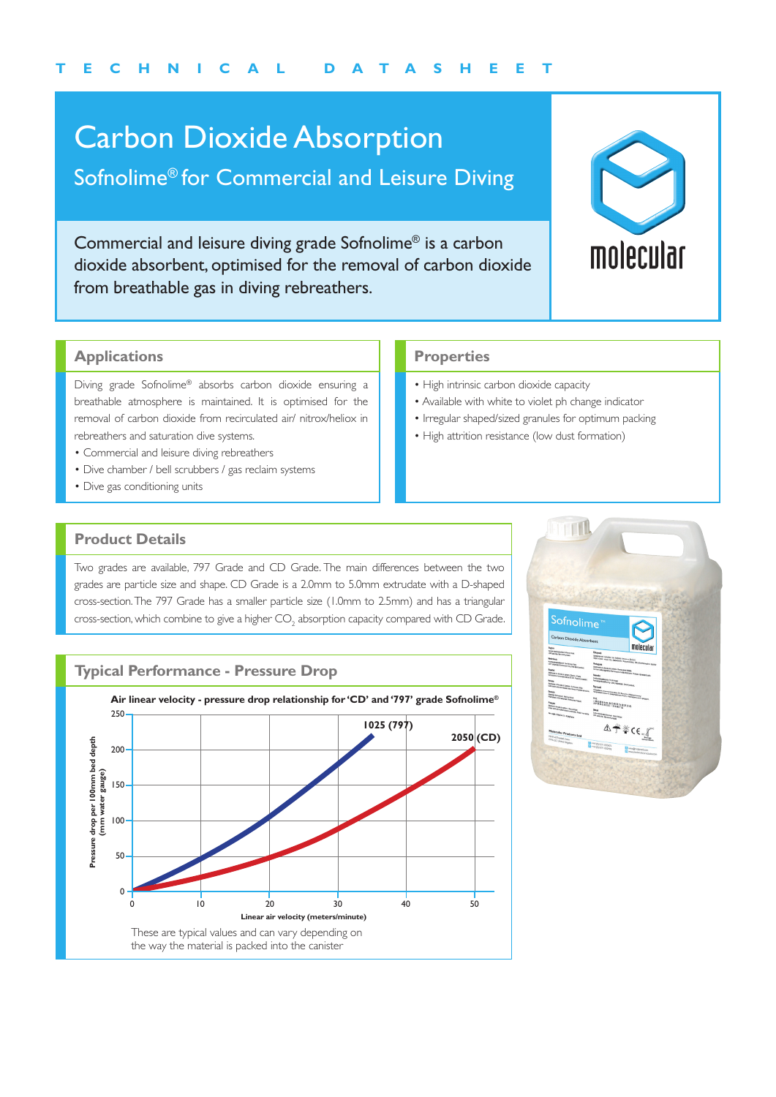## Carbon Dioxide Absorption

### Sofnolime® for Commercial and Leisure Diving

Commercial and leisure diving grade Sofnolime® is a carbon dioxide absorbent, optimised for the removal of carbon dioxide from breathable gas in diving rebreathers.



#### **Applications**

Diving grade Sofnolime® absorbs carbon dioxide ensuring a breathable atmosphere is maintained. It is optimised for the removal of carbon dioxide from recirculated air/ nitrox/heliox in rebreathers and saturation dive systems.

- Commercial and leisure diving rebreathers
- Dive chamber / bell scrubbers / gas reclaim systems
- Dive gas conditioning units

#### **Properties**

- High intrinsic carbon dioxide capacity
- Available with white to violet ph change indicator
- Irregular shaped/sized granules for optimum packing
- High attrition resistance (low dust formation)

#### **Product Details**

Two grades are available, 797 Grade and CD Grade. The main differences between the two grades are particle size and shape. CD Grade is a 2.0mm to 5.0mm extrudate with a D-shaped cross-section. The 797 Grade has a smaller particle size (1.0mm to 2.5mm) and has a triangular cross-section, which combine to give a higher  $\mathsf{CO}_2$  absorption capacity compared with CD Grade.